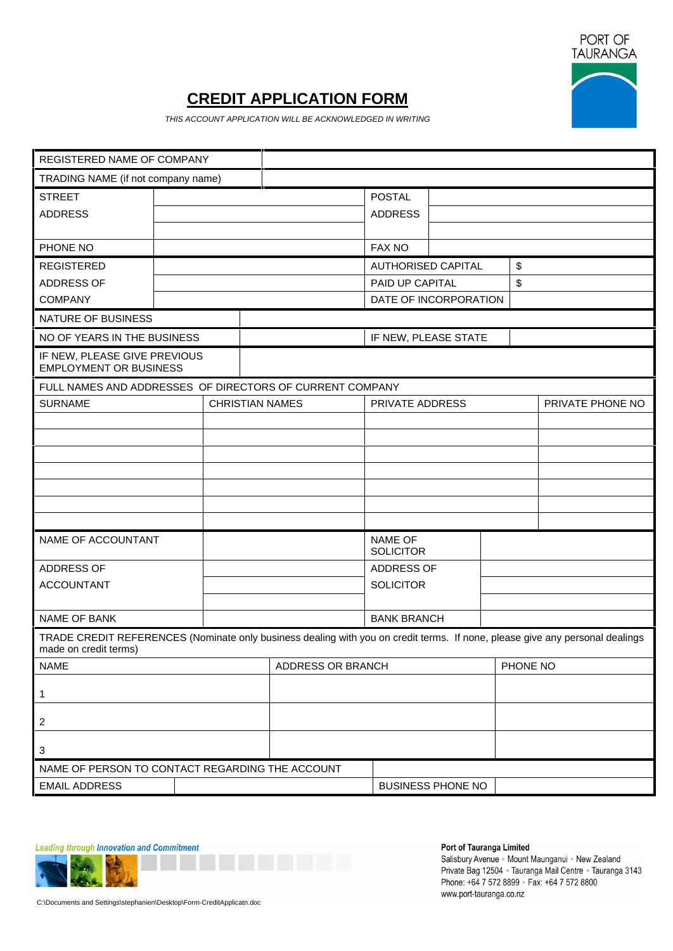

# **CREDIT APPLICATION FORM**

THIS ACCOUNT APPLICATION WILL BE ACKNOWLEDGED IN WRITING

| REGISTERED NAME OF COMPANY                             |                                                                                                                              |                        |                  |
|--------------------------------------------------------|------------------------------------------------------------------------------------------------------------------------------|------------------------|------------------|
| TRADING NAME (if not company name)                     |                                                                                                                              |                        |                  |
| <b>STREET</b>                                          |                                                                                                                              | POSTAL                 |                  |
| ADDRESS                                                |                                                                                                                              | ADDRESS                |                  |
|                                                        |                                                                                                                              |                        |                  |
| PHONE NO                                               |                                                                                                                              | <b>FAX NO</b>          |                  |
| REGISTERED                                             |                                                                                                                              | AUTHORISED CAPITAL     |                  |
| ADDRESS OF                                             |                                                                                                                              | PAID UP CAPITAL        |                  |
| COMPANY                                                |                                                                                                                              | DATE OF INCORPORATION  |                  |
| NATURE OF BUSINESS                                     |                                                                                                                              |                        |                  |
| NO OF YEARS IN THE BUSINESS                            |                                                                                                                              | IF NEW, PLEASE STATE   |                  |
| IF NEW, PLEASE GIVE PREVIOUS<br>EMPLOYMENT OR BUSINESS |                                                                                                                              |                        |                  |
|                                                        | FULL NAMES AND ADDRESSES OF DIRECTORS OF CURRENT COMPANY                                                                     |                        |                  |
| SURNAME                                                | CHRISTIAN NAMES                                                                                                              | <b>PRIVATE ADDRESS</b> | PRIVATE PHONE NO |
|                                                        |                                                                                                                              |                        |                  |
|                                                        |                                                                                                                              |                        |                  |
|                                                        |                                                                                                                              |                        |                  |
|                                                        |                                                                                                                              |                        |                  |
|                                                        |                                                                                                                              |                        |                  |
|                                                        |                                                                                                                              |                        |                  |
|                                                        |                                                                                                                              |                        |                  |
| NAME OF ACCOUNTANT                                     |                                                                                                                              | NAME OF<br>SOLICITOR   |                  |
| ADDRESS OF                                             |                                                                                                                              | ADDRESS OF             |                  |
| ACCOUNTANT                                             |                                                                                                                              | SOLICITOR              |                  |
|                                                        |                                                                                                                              |                        |                  |
| NAME OF BANK                                           |                                                                                                                              | <b>BANK BRANCH</b>     |                  |
|                                                        | TRADE CREDIT REFERENCES (Nominate only business dealing with you on credit terms. If none, please give any personal dealings |                        |                  |
| made on credit terms)                                  |                                                                                                                              |                        |                  |
| <b>NAME</b>                                            | ADDRESS OR BRANCH                                                                                                            |                        | PHONE NO         |
|                                                        |                                                                                                                              |                        |                  |
|                                                        |                                                                                                                              |                        |                  |
|                                                        |                                                                                                                              |                        |                  |
|                                                        |                                                                                                                              |                        |                  |
|                                                        |                                                                                                                              |                        |                  |
|                                                        | NAME OF PERSON TO CONTACT REGARDING THE ACCOUNT                                                                              |                        |                  |
| <b>EMAIL ADDRESS</b>                                   |                                                                                                                              | BUSINESS PHONE NO      |                  |